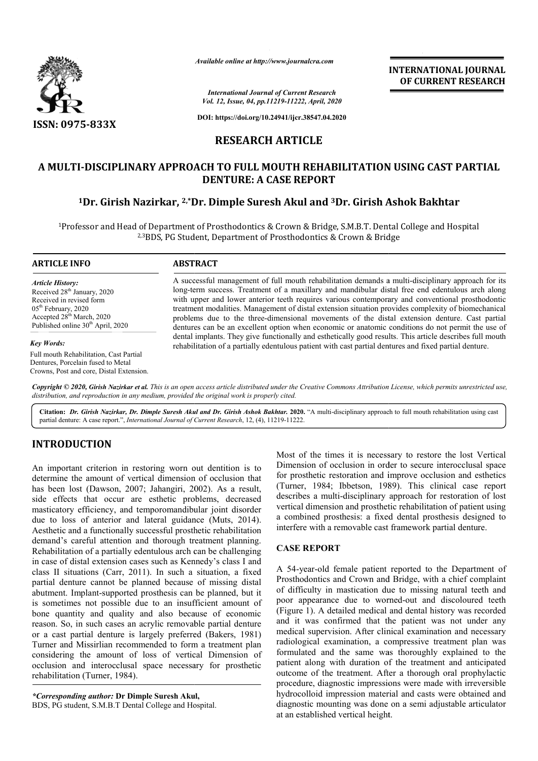

*Available online at http://www.journalcra.com*

*International Journal of Current Research Vol. 12, Issue, 04, pp.11219-11222, April, 2020* **INTERNATIONAL JOURNAL OF CURRENT RESEARCH**

**DOI: https://doi.org/10.24941/ijcr.38547.04.2020**

# **RESEARCH ARTICLE**

# **A MULTI-DISCIPLINARY APPROACH TO FULL MOUTH REHABILITATION USING CAST DISCIPLINARY DENTURE: A CASE REPORT DISCIPLINARY PARTIAL**

# **1Dr. Girish Nazirkar, 2,\*Dr. Dimple Suresh Akul and Dr. 3Dr. Girish Ashok Bakhtar Dr. Girish Ashok**

<sup>1</sup>Professor and Head of Department of Prosthodontics & Crown & Bridge, S.M.B.T. Dental College and Hospital<br><sup>2,3</sup>BDS, PG Student, Department of Prosthodontics & Crown & Bridge <sup>2,3</sup>BDS, PG Student, Department of Prosthodontics & Crown & Bridge

#### **ARTICLE INFO ABSTRACT**

*Article History:* Received 28<sup>th</sup> January, 2020 Received in revised form 05th February, 2020 Accepted 28<sup>th</sup> March, 2020 Published online 30<sup>th</sup> April, 2020

#### *Key Words:*

Full mouth Rehabilitation, Cast Partial Dentures, Porcelain fused to Metal Crowns, Post and core, Distal Extension.

A successful management of full mouth rehabilitation demands a multi-disciplinary approach for its long-term success. Treatment of a maxillary and mandibular distal free end edentulous arch along with upper and lower anterior teeth requires various contemporary and conventional prosthodontic treatment modalities. Management of distal extension situation provides complexity of biomechanical problems due to the three three-dimensional movements of the distal extension denture. Cast partial dentures can be an excellent option when economic or anatomic conditions do not permit the use of dental i implants. They give functionally and esthetically good results. This article describes full mouth rehabilitation of a partially edentulous patient with cast partial dentures and fixed partial denture. term success. Treatment of a maxillary and mandibular distal free end edentulous arch along<br>upper and lower anterior teeth requires various contemporary and conventional prosthodontic<br>nent modalities. Management of distal long-term success. Treatment of a maxillary and mandibular distal free end edentulous arch along<br>with upper and lower anterior teeth requires various contemporary and conventional prosthodontic<br>treatment modalities. Manage

Copyright © 2020, Girish Nazirkar et al. This is an open access article distributed under the Creative Commons Attribution License, which permits unrestricted use, *distribution, and reproduction in any medium, provided the original work is properly cited.*

Citation: Dr. Girish Nazirkar, Dr. Dimple Suresh Akul and Dr. Girish Ashok Bakhtar. 2020. "A multi-disciplinary approach to full mouth rehabilitation using cast partial denture: A case report.", *International Journal of Current Research*, 12, (4), 11219-11222.

# **INTRODUCTION**

An important criterion in restoring worn out dentition is to determine the amount of vertical dimension of occlusion that has been lost (Dawson, 2007; Jahangiri, 2002). As a result, side effects that occur are esthetic problems, decreased masticatory efficiency, and temporomandibular joint disorder due to loss of anterior and lateral guidance (Muts, 2014). Aesthetic and a functionally successful prosthetic rehabilitation demand's careful attention and thorough treatment planning. Rehabilitation of a partially edentulous arch can be challenging in case of distal extension cases such as Kennedy's class I and class II situations (Carr, 2011). In such a situation, a fixed partial denture cannot be planned because of missing distal abutment. Implant-supported prosthesis can be planned, but it is sometimes not possible due to an insufficient amount of bone quantity and quality and also because of economic reason. So, in such cases an acrylic removable partial or a cast partial denture is largely preferred (Bakers, 1981) Turner and Missirlian recommended to form a treatment plan considering the amount of loss of vertical Dimension of occlusion and interocclusal space necessary for prosthetic rehabilitation (Turner, 1984). (Carr, 2011). In such a situation, a fixed in the planned because of missing distal supported prosthesis can be planned, but it possible due to an insufficient amount of quality and also because of economic cases an acryli

*\*Corresponding author:* **Dr Dimple Suresh Akul,** BDS, PG student, S.M.B.T Dental College and Hospital. Most of the times it is necessary to restore the lost Vertical Dimension of occlusion in order to secure interocclusal space for prosthetic restoration and improve occlusion and esthetics (Turner, 1984; Ibbetson, 1989). This clinical case report describes a multi-disciplinary approach for restoration of lost vertical dimension and prosthetic rehabilitation of patient using a combined prosthesis: a fixed dental prosthesis designed to interfere with a removable cast framework partial denture. Most of the times it is necessary to restore the lost Vertical<br>Dimension of occlusion in order to secure interocclusal space<br>or prosthetic restoration and improve occlusion and esthetics<br>Turner, 1984; Ibbetson, 1989). This multi-disciplinary approach for restoration of lost<br>tension and prosthetic rehabilitation of patient using<br>d prosthesis: a fixed dental prosthesis designed to<br>the a removable cast framework partial denture.<br>PORT<br>old female

# **CASE REPORT**

A 54-year-old female patient reported to the Department of Prosthodontics and Crown and Bridge, with a chief complaint of difficulty in mastication due to missing natural teeth and poor appearance due to worned-out and discoloured teeth (Figure 1). A detailed medical and dental history was recorded and it was confirmed that the patient was not under any (Figure 1). A detailed medical and dental history was recorded and it was confirmed that the patient was not under any medical supervision. After clinical examination and necessary radiological examination, a compressive treatment plan was formulated and the same was thoroughly explained to the patient along with duration of the treatment and anticipated outcome of the treatment. After a thorough oral prophylactic procedure, diagnostic impressions were made with irreversible hydrocolloid impression material and casts were obtained and diagnostic mounting was done on a semi adjustable articulator at an established vertical height. gical examination, a compressive treatment plan was<br>ted and the same was thoroughly explained to the<br>along with duration of the treatment and anticipated<br>e of the treatment. After a thorough oral prophylactic INTERNATIONAL JOURNAL<br>
COPE CURRENT RESEARCH<br>
COPE CURRENT RESEARCH<br>
TICLE<br>
TISEN 16232, 1997, 1997, 1997, 1998, 1997, 1997, 1997, 1997, 1997, 1997, 1997, 1997, 1997, 1997, 1997, 1997, 1997, 1997, 1997, 1997, 1997, 1997, 1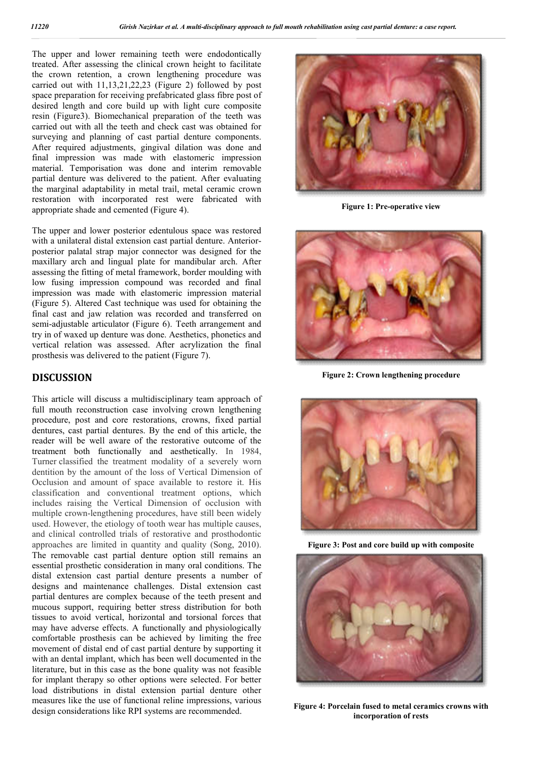The upper and lower remaining teeth were endodontically treated. After assessing the clinical crown height to facilitate the crown retention, a crown lengthening procedure was carried out with 11,13,21,22,23 (Figure 2) followed by post space preparation for receiving prefabricated glass fibre post of desired length and core build up with light cure composite resin (Figure3). Biomechanical preparation of the teeth was carried out with all the teeth and check cast was obtained for surveying and planning of cast partial denture components. After required adjustments, gingival dilation was done and final impression was made with elastomeric impression material. Temporisation was done and interim removable partial denture was delivered to the patient. After evaluating the marginal adaptability in metal trail, metal ceramic crown restoration with incorporated rest were fabricated with appropriate shade and cemented (Figure 4).

The upper and lower posterior edentulous space was restored with a unilateral distal extension cast partial denture. Anteriorposterior palatal strap major connector was designed for the maxillary arch and lingual plate for mandibular arch. After assessing the fitting of metal framework, border moulding with low fusing impression compound was recorded and final impression was made with elastomeric impression material (Figure 5). Altered Cast technique was used for obtaining the final cast and jaw relation was recorded and transferred on semi-adjustable articulator (Figure 6). Teeth arrangement and try in of waxed up denture was done. Aesthetics, phonetics and vertical relation was assessed. After acrylization the final prosthesis was delivered to the patient (Figure 7).

## **DISCUSSION**

This article will discuss a multidisciplinary team approach of full mouth reconstruction case involving crown lengthening procedure, post and core restorations, crowns, fixed partial dentures, cast partial dentures. By the end of this article, the reader will be well aware of the restorative outcome of the treatment both functionally and aesthetically. In 1984, Turner classified the treatment modality of a severely worn dentition by the amount of the loss of Vertical Dimension of Occlusion and amount of space available to restore it. His classification and conventional treatment options, which includes raising the Vertical Dimension of occlusion with multiple crown-lengthening procedures, have still been widely used. However, the etiology of tooth wear has multiple causes, and clinical controlled trials of restorative and prosthodontic approaches are limited in quantity and quality (Song, 2010). The removable cast partial denture option still remains an essential prosthetic consideration in many oral conditions. The distal extension cast partial denture presents a number of designs and maintenance challenges. Distal extension cast partial dentures are complex because of the teeth present and mucous support, requiring better stress distribution for both tissues to avoid vertical, horizontal and torsional forces that may have adverse effects. A functionally and physiologically comfortable prosthesis can be achieved by limiting the free movement of distal end of cast partial denture by supporting it with an dental implant, which has been well documented in the literature, but in this case as the bone quality was not feasible for implant therapy so other options were selected. For better load distributions in distal extension partial denture other measures like the use of functional reline impressions, various design considerations like RPI systems are recommended.



**Figure 1: Pre-operative view**



**Figure 2: Crown lengthening procedure**



**Figure 3: Post and core build up with composite**



**Figure 4: Porcelain fused to metal ceramics crowns with incorporation of rests**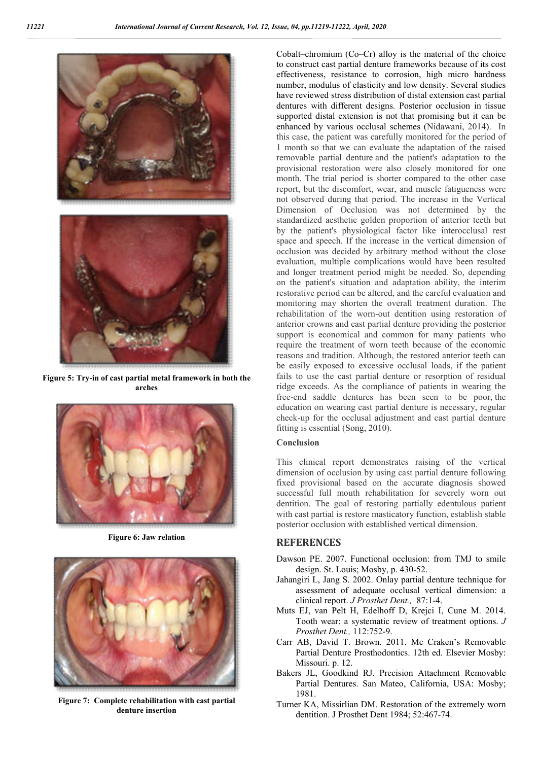

**Figure 5: Try-in of cast partial metal framework in both the arches**



**Figure 6: Jaw relation**



**Figure 7: Complete rehabilitation with cast partial denture insertion**

Cobalt–chromium (Co–Cr) alloy is the material of the choice to construct cast partial denture frameworks because of its cost effectiveness, resistance to corrosion, high micro hardness number, modulus of elasticity and low density. Several studies have reviewed stress distribution of distal extension cast partial dentures with different designs. Posterior occlusion in tissue supported distal extension is not that promising but it can be enhanced by various occlusal schemes (Nidawani, 2014). In this case, the patient was carefully monitored for the period of 1 month so that we can evaluate the adaptation of the raised removable partial denture and the patient's adaptation to the provisional restoration were also closely monitored for one month. The trial period is shorter compared to the other case report, but the discomfort, wear, and muscle fatigueness were not observed during that period. The increase in the Vertical Dimension of Occlusion was not determined by the standardized aesthetic golden proportion of anterior teeth but by the patient's physiological factor like interocclusal rest space and speech. If the increase in the vertical dimension of occlusion was decided by arbitrary method without the close evaluation, multiple complications would have been resulted and longer treatment period might be needed. So, depending on the patient's situation and adaptation ability, the interim restorative period can be altered, and the careful evaluation and monitoring may shorten the overall treatment duration. The rehabilitation of the worn-out dentition using restoration of anterior crowns and cast partial denture providing the posterior support is economical and common for many patients who require the treatment of worn teeth because of the economic reasons and tradition. Although, the restored anterior teeth can be easily exposed to excessive occlusal loads, if the patient fails to use the cast partial denture or resorption of residual ridge exceeds. As the compliance of patients in wearing the free-end saddle dentures has been seen to be poor, the education on wearing cast partial denture is necessary, regular check-up for the occlusal adjustment and cast partial denture fitting is essential (Song, 2010).

### **Conclusion**

This clinical report demonstrates raising of the vertical dimension of occlusion by using cast partial denture following fixed provisional based on the accurate diagnosis showed successful full mouth rehabilitation for severely worn out dentition. The goal of restoring partially edentulous patient with cast partial is restore masticatory function, establish stable posterior occlusion with established vertical dimension.

# **REFERENCES**

- Dawson PE. 2007. Functional occlusion: from TMJ to smile design. St. Louis; Mosby, p. 430-52.
- Jahangiri L, Jang S. 2002. Onlay partial denture technique for assessment of adequate occlusal vertical dimension: a clinical report. *J Prosthet Dent.,* 87:1-4.
- Muts EJ, van Pelt H, Edelhoff D, Krejci I, Cune M. 2014. Tooth wear: a systematic review of treatment options. *J Prosthet Dent.,* 112:752-9.
- Carr AB, David T. Brown. 2011. Mc Craken's Removable Partial Denture Prosthodontics. 12th ed. Elsevier Mosby: Missouri. p. 12.
- Bakers JL, Goodkind RJ. Precision Attachment Removable Partial Dentures. San Mateo, California, USA: Mosby; 1981.
- Turner KA, Missirlian DM. Restoration of the extremely worn dentition. J Prosthet Dent 1984; 52:467-74.